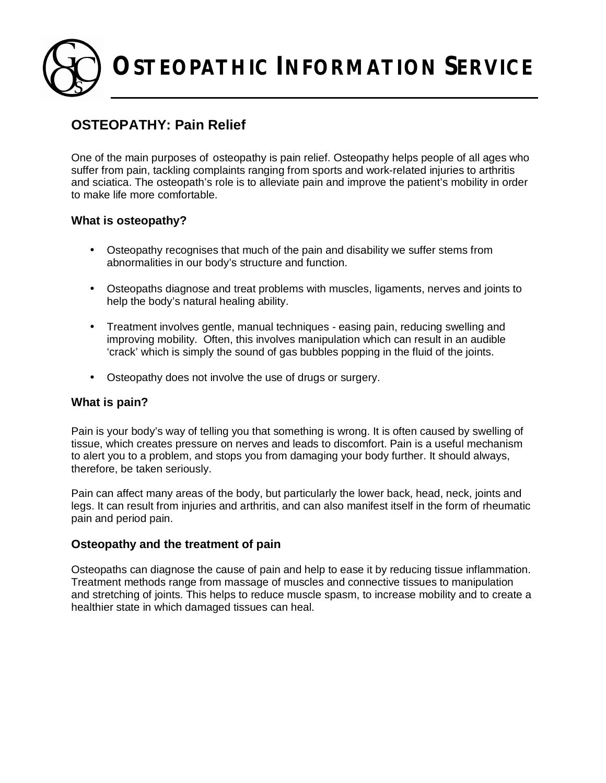**OSTEOPATHIC INFORMATION SERVICE**

# **OSTEOPATHY: Pain Relief**

One of the main purposes of osteopathy is pain relief. Osteopathy helps people of all ages who suffer from pain, tackling complaints ranging from sports and work-related injuries to arthritis and sciatica. The osteopath's role is to alleviate pain and improve the patient's mobility in order to make life more comfortable.

## **What is osteopathy?**

- Osteopathy recognises that much of the pain and disability we suffer stems from abnormalities in our body's structure and function.
- Osteopaths diagnose and treat problems with muscles, ligaments, nerves and joints to help the body's natural healing ability.
- Treatment involves gentle, manual techniques easing pain, reducing swelling and improving mobility. Often, this involves manipulation which can result in an audible 'crack' which is simply the sound of gas bubbles popping in the fluid of the joints.
- Osteopathy does not involve the use of drugs or surgery.

## **What is pain?**

Pain is your body's way of telling you that something is wrong. It is often caused by swelling of tissue, which creates pressure on nerves and leads to discomfort. Pain is a useful mechanism to alert you to a problem, and stops you from damaging your body further. It should always, therefore, be taken seriously.

Pain can affect many areas of the body, but particularly the lower back, head, neck, joints and legs. It can result from injuries and arthritis, and can also manifest itself in the form of rheumatic pain and period pain.

## **Osteopathy and the treatment of pain**

Osteopaths can diagnose the cause of pain and help to ease it by reducing tissue inflammation. Treatment methods range from massage of muscles and connective tissues to manipulation and stretching of joints. This helps to reduce muscle spasm, to increase mobility and to create a healthier state in which damaged tissues can heal.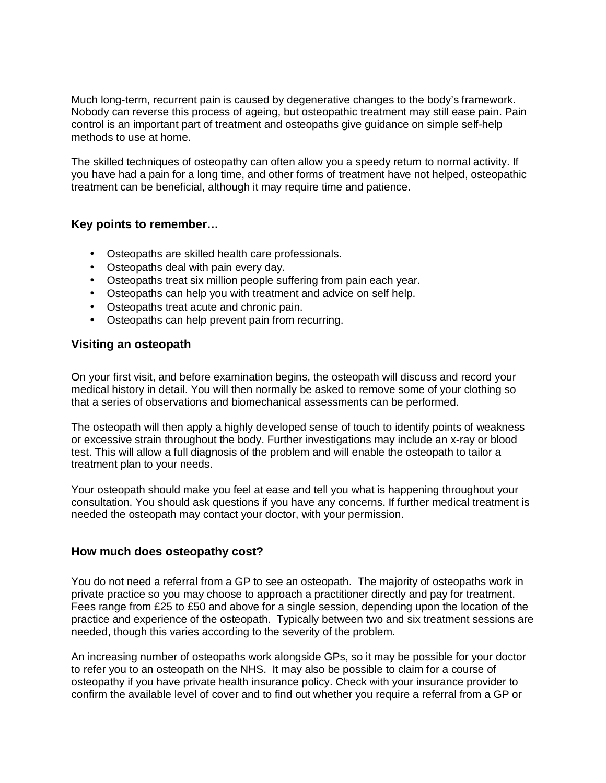Much long-term, recurrent pain is caused by degenerative changes to the body's framework. Nobody can reverse this process of ageing, but osteopathic treatment may still ease pain. Pain control is an important part of treatment and osteopaths give guidance on simple self-help methods to use at home.

The skilled techniques of osteopathy can often allow you a speedy return to normal activity. If you have had a pain for a long time, and other forms of treatment have not helped, osteopathic treatment can be beneficial, although it may require time and patience.

## **Key points to remember…**

- Osteopaths are skilled health care professionals.
- Osteopaths deal with pain every day.
- Osteopaths treat six million people suffering from pain each year.
- Osteopaths can help you with treatment and advice on self help.
- Osteopaths treat acute and chronic pain.
- Osteopaths can help prevent pain from recurring.

#### **Visiting an osteopath**

On your first visit, and before examination begins, the osteopath will discuss and record your medical history in detail. You will then normally be asked to remove some of your clothing so that a series of observations and biomechanical assessments can be performed.

The osteopath will then apply a highly developed sense of touch to identify points of weakness or excessive strain throughout the body. Further investigations may include an x-ray or blood test. This will allow a full diagnosis of the problem and will enable the osteopath to tailor a treatment plan to your needs.

Your osteopath should make you feel at ease and tell you what is happening throughout your consultation. You should ask questions if you have any concerns. If further medical treatment is needed the osteopath may contact your doctor, with your permission.

## **How much does osteopathy cost?**

You do not need a referral from a GP to see an osteopath. The majority of osteopaths work in private practice so you may choose to approach a practitioner directly and pay for treatment. Fees range from £25 to £50 and above for a single session, depending upon the location of the practice and experience of the osteopath. Typically between two and six treatment sessions are needed, though this varies according to the severity of the problem.

An increasing number of osteopaths work alongside GPs, so it may be possible for your doctor to refer you to an osteopath on the NHS. It may also be possible to claim for a course of osteopathy if you have private health insurance policy. Check with your insurance provider to confirm the available level of cover and to find out whether you require a referral from a GP or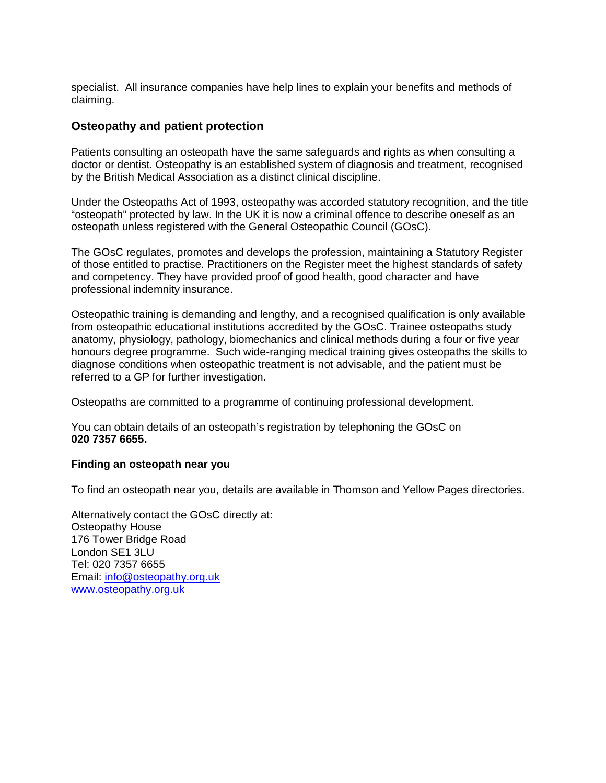specialist. All insurance companies have help lines to explain your benefits and methods of claiming.

## **Osteopathy and patient protection**

Patients consulting an osteopath have the same safeguards and rights as when consulting a doctor or dentist. Osteopathy is an established system of diagnosis and treatment, recognised by the British Medical Association as a distinct clinical discipline.

Under the Osteopaths Act of 1993, osteopathy was accorded statutory recognition, and the title "osteopath" protected by law. In the UK it is now a criminal offence to describe oneself as an osteopath unless registered with the General Osteopathic Council (GOsC).

The GOsC regulates, promotes and develops the profession, maintaining a Statutory Register of those entitled to practise. Practitioners on the Register meet the highest standards of safety and competency. They have provided proof of good health, good character and have professional indemnity insurance.

Osteopathic training is demanding and lengthy, and a recognised qualification is only available from osteopathic educational institutions accredited by the GOsC. Trainee osteopaths study anatomy, physiology, pathology, biomechanics and clinical methods during a four or five year honours degree programme. Such wide-ranging medical training gives osteopaths the skills to diagnose conditions when osteopathic treatment is not advisable, and the patient must be referred to a GP for further investigation.

Osteopaths are committed to a programme of continuing professional development.

You can obtain details of an osteopath's registration by telephoning the GOsC on **020 7357 6655.**

#### **Finding an osteopath near you**

To find an osteopath near you, details are available in Thomson and Yellow Pages directories.

Alternatively contact the GOsC directly at: Osteopathy House 176 Tower Bridge Road London SE1 3LU Tel: 020 7357 6655 Email: [info@osteopathy.org.uk](mailto:info@osteopathy.org.uk) [www.osteopathy.org.uk](http://www.osteopathy.org.uk)